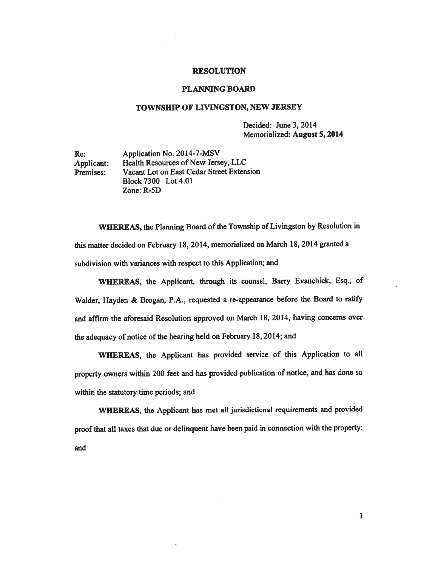## RESOLUTION

## PLANNING BOARD

## TOWNSHIP OF LIVINGSTON, NEW JERSEY

Decided: June 3, 2014 Memorialized: August 5, 2014

Re: Application No. 2014-7-MSV Applicant: Health Resources of New Jersey, LLC Premises: Vacant Lot on East Cedar Street Extension Block7300 Lot4.01 Zone: R-5D

WHEREAS, the Planning Board of the Township of Livingston by Resolution in this matter decided on February 18, 2014, memorialized on March 18, <sup>2014</sup> granted <sup>a</sup> subdivision with variances with respec<sup>t</sup> to this Application; and

WHEREAS, the Applicant, through its counsel, Barry Evanchick, Esq., of Walder, Hayden & Brogan, P.A., requested <sup>a</sup> re-appearance before the Board to ratify and affirm the aforesaid Resolution approve<sup>d</sup> on March 18, 2014, having concerns over the adequacy of notice of the hearing held on February 18, 2014; and

WHEREAS, the Applicant has provided service of this Application to all property owners within <sup>200</sup> feet and has provided publication of notice, and has done so within the statutory time periods; and

WHEREAS, the Applicant has met all jurisdictional requirements and provided proof that all taxes that due or delinquent have been paid in connection with the property; and

1